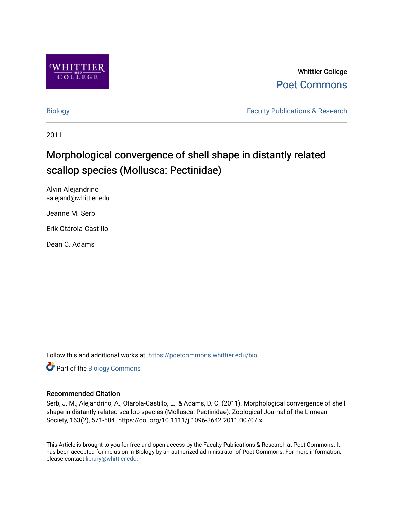

## Whittier College [Poet Commons](https://poetcommons.whittier.edu/)

[Biology](https://poetcommons.whittier.edu/bio) **Faculty Publications & Research** 

2011

# Morphological convergence of shell shape in distantly related scallop species (Mollusca: Pectinidae)

Alvin Alejandrino aalejand@whittier.edu

Jeanne M. Serb

Erik Otárola-Castillo

Dean C. Adams

Follow this and additional works at: [https://poetcommons.whittier.edu/bio](https://poetcommons.whittier.edu/bio?utm_source=poetcommons.whittier.edu%2Fbio%2F5&utm_medium=PDF&utm_campaign=PDFCoverPages)

Part of the [Biology Commons](http://network.bepress.com/hgg/discipline/41?utm_source=poetcommons.whittier.edu%2Fbio%2F5&utm_medium=PDF&utm_campaign=PDFCoverPages) 

### Recommended Citation

Serb, J. M., Alejandrino, A., Otarola-Castillo, E., & Adams, D. C. (2011). Morphological convergence of shell shape in distantly related scallop species (Mollusca: Pectinidae). Zoological Journal of the Linnean Society, 163(2), 571-584. https://doi.org/10.1111/j.1096-3642.2011.00707.x

This Article is brought to you for free and open access by the Faculty Publications & Research at Poet Commons. It has been accepted for inclusion in Biology by an authorized administrator of Poet Commons. For more information, please contact [library@whittier.edu](mailto:library@whittier.edu).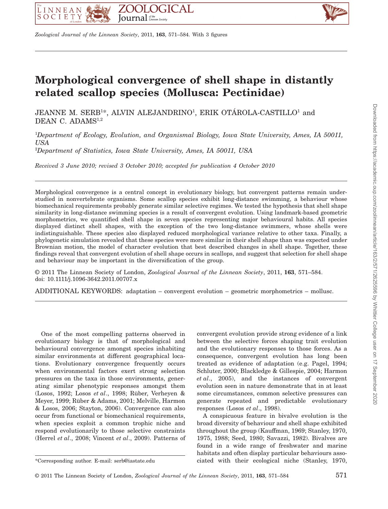



*Zoological Journal of the Linnean Society*, 2011, **163**, 571–584. With 3 figures

# **Morphological convergence of shell shape in distantly related scallop species (Mollusca: Pectinidae)**

JEANNE M. SERB $^{1*}$ , ALVIN ALEJANDRINO<sup>1</sup>, ERIK OTÁROLA-CASTILLO $^{1}$  and DEAN C. ADAMS<sup>1,2</sup>

1 *Department of Ecology, Evolution, and Organismal Biology, Iowa State University, Ames, IA 50011, USA* 2 *Department of Statistics, Iowa State University, Ames, IA 50011, USA*

*Received 3 June 2010; revised 3 October 2010; accepted for publication 4 October 2010*

Morphological convergence is a central concept in evolutionary biology, but convergent patterns remain understudied in nonvertebrate organisms. Some scallop species exhibit long-distance swimming, a behaviour whose biomechanical requirements probably generate similar selective regimes. We tested the hypothesis that shell shape similarity in long-distance swimming species is a result of convergent evolution. Using landmark-based geometric morphometrics, we quantified shell shape in seven species representing major behavioural habits. All species displayed distinct shell shapes, with the exception of the two long-distance swimmers, whose shells were indistinguishable. These species also displayed reduced morphological variance relative to other taxa. Finally, a phylogenetic simulation revealed that these species were more similar in their shell shape than was expected under Brownian motion, the model of character evolution that best described changes in shell shape. Together, these findings reveal that convergent evolution of shell shape occurs in scallops, and suggest that selection for shell shape and behaviour may be important in the diversification of the group.

© 2011 The Linnean Society of London, *Zoological Journal of the Linnean Society*, 2011, **163**, 571–584. doi: 10.1111/j.1096-3642.2011.00707.x

ADDITIONAL KEYWORDS: adaptation – convergent evolution – geometric morphometrics – mollusc.

One of the most compelling patterns observed in evolutionary biology is that of morphological and behavioural convergence amongst species inhabiting similar environments at different geographical locations. Evolutionary convergence frequently occurs when environmental factors exert strong selection pressures on the taxa in those environments, generating similar phenotypic responses amongst them (Losos, 1992; Losos *et al*., 1998; Rüber, Verheyen & Meyer, 1999; Rüber & Adams, 2001; Melville, Harmon & Losos, 2006; Stayton, 2006). Convergence can also occur from functional or biomechanical requirements, when species exploit a common trophic niche and respond evolutionarily to those selective constraints (Herrel *et al*., 2008; Vincent *et al*., 2009). Patterns of

convergent evolution provide strong evidence of a link between the selective forces shaping trait evolution and the evolutionary responses to those forces. As a consequence, convergent evolution has long been treated as evidence of adaptation (e.g. Pagel, 1994; Schluter, 2000; Blackledge & Gillespie, 2004; Harmon *et al*., 2005), and the instances of convergent evolution seen in nature demonstrate that in at least some circumstances, common selective pressures can generate repeated and predictable evolutionary responses (Losos *et al*., 1998).

A conspicuous feature in bivalve evolution is the broad diversity of behaviour and shell shape exhibited throughout the group (Kauffman, 1969; Stanley, 1970, 1975, 1988; Seed, 1980; Savazzi, 1982). Bivalves are found in a wide range of freshwater and marine habitats and often display particular behaviours asso- \*Corresponding author. E-mail: serb@iastate.edu ciated with their ecological niche (Stanley, 1970,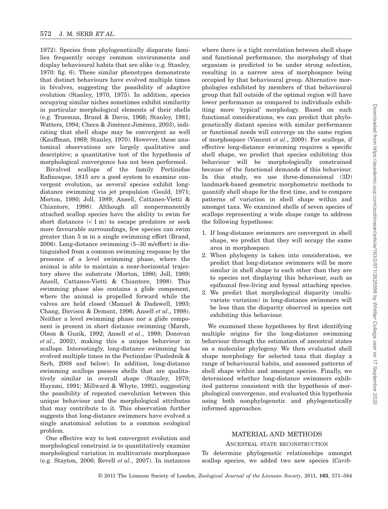1972). Species from phylogenetically disparate families frequently occupy common environments and display behavioural habits that are alike (e.g. Stanley, 1970: fig. 6). These similar phenotypes demonstrate that distinct behaviours have evolved multiple times in bivalves, suggesting the possibility of adaptive evolution (Stanley, 1970, 1975). In addition, species occupying similar niches sometimes exhibit similarity in particular morphological elements of their shells (e.g. Trueman, Brand & Davis, 1966; Stanley, 1981; Watters, 1994; Checa & Jimènez-Jimènez, 2003), indicating that shell shape may be convergent as well (Kauffman, 1969; Stanley, 1970). However, these anatomical observations are largely qualitative and descriptive; a quantitative test of the hypothesis of morphological convergence has not been performed.

Bivalved scallops of the family Pectinidae Rafinesque, 1815 are a good system to examine convergent evolution, as several species exhibit longdistance swimming via jet propulsion (Gould, 1971; Morton, 1980; Joll, 1989; Ansell, Cattaneo-Vietti & Chiantore, 1998). Although all nonpermanently attached scallop species have the ability to swim for short distances  $\left($ < 1 m) to escape predators or seek more favourable surroundings, few species can swim greater than 5 m in a single swimming effort (Brand, 2006). Long-distance swimming (5–30 m/effort) is distinguished from a common swimming response by the presence of a level swimming phase, where the animal is able to maintain a near-horizontal trajectory above the substrate (Morton, 1980; Joll, 1989; Ansell, Cattaneo-Vietti & Chiantore, 1998). This swimming phase also contains a glide component, where the animal is propelled forward while the valves are held closed (Manuel & Dadswell, 1993; Chang, Davison & Demont, 1996; Ansell *et al*., 1998). Neither a level swimming phase nor a glide component is present in short distance swimming (Marsh, Olson & Guzik, 1992; Ansell *et al*., 1998; Donovan *et al*., 2002), making this a unique behaviour in scallops. Interestingly, long-distance swimming has evolved multiple times in the Pectinidae (Puslednik & Serb, 2008 and below). In addition, long-distance swimming scallops possess shells that are qualitatively similar in overall shape (Stanley, 1970; Hayami, 1991; Millward & Whyte, 1992), suggesting the possibility of repeated coevolution between this unique behaviour and the morphological attributes that may contribute to it. This observation further suggests that long-distance swimmers have evolved a single anatomical solution to a common ecological problem.

One effective way to test convergent evolution and morphological constraint is to quantitatively examine morphological variation in multivariate morphospace (e.g. Stayton, 2006; Revell *et al*., 2007). In instances where there is a tight correlation between shell shape and functional performance, the morphology of that organism is predicted to be under strong selection, resulting in a narrow area of morphospace being occupied by that behavioural group. Alternative morphologies exhibited by members of that behavioural group that fall outside of the optimal region will have lower performance as compared to individuals exhibiting more 'typical' morphology. Based on such functional considerations, we can predict that phylogenetically distant species with similar performance or functional needs will converge on the same region of morphospace (Vincent *et al*., 2009). For scallops, if effective long-distance swimming requires a specific shell shape, we predict that species exhibiting this behaviour will be morphologically constrained because of the functional demands of this behaviour. In this study, we use three-dimensional (3D) landmark-based geometric morphometric methods to quantify shell shape for the first time, and to compare patterns of variation in shell shape within and amongst taxa. We examined shells of seven species of scallops representing a wide shape range to address the following hypotheses:

- 1. If long-distance swimmers are convergent in shell shape, we predict that they will occupy the same area in morphospace.
- 2. When phylogeny is taken into consideration, we predict that long-distance swimmers will be more similar in shell shape to each other than they are to species not displaying this behaviour, such as epifaunal free-living and byssal attaching species.
- 3. We predict that morphological disparity (multivariate variation) in long-distance swimmers will be less than the disparity observed in species not exhibiting this behaviour.

We examined these hypotheses by first identifying multiple origins for the long-distance swimming behaviour through the estimation of ancestral states on a molecular phylogeny. We then evaluated shell shape morphology for selected taxa that display a range of behavioural habits, and assessed patterns of shell shape within and amongst species. Finally, we determined whether long-distance swimmers exhibited patterns consistent with the hypothesis of morphological convergence, and evaluated this hypothesis using both nonphylogenetic and phylogenetically informed approaches.

#### MATERIAL AND METHODS

#### ANCESTRAL STATE RECONSTRUCTION

To determine phylogenetic relationships amongst scallop species, we added two new species [*Carib-*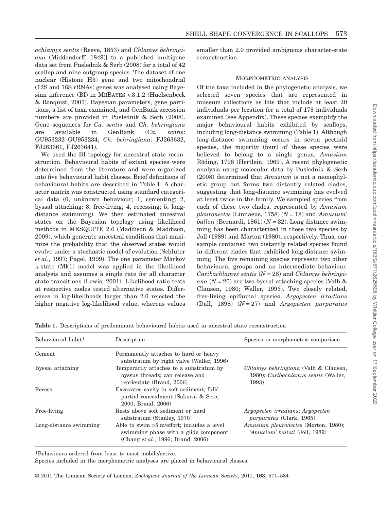#### MORPHOMETRIC ANALYSIS

Of the taxa included in the phylogenetic analysis, we selected seven species that are represented in museum collections as lots that include at least 20 individuals per location for a total of 178 individuals examined (see Appendix). These species exemplify the major behavioural habits exhibited by scallops, including long-distance swimming (Table 1). Although long-distance swimming occurs in seven pectinid species, the majority (four) of these species were believed to belong to a single genus, *Amusium* Röding, 1798 (Hertlein, 1969). A recent phylogenetic analysis using molecular data by Puslednik & Serb (2008) determined that *Amusium* is not a monophyletic group but forms two distantly related clades, suggesting that long-distance swimming has evolved at least twice in the family. We sampled species from each of these two clades, represented by *Amusium pleuronectes* (Linnaeus, 1758) (*N* = 18) and '*Amusium*' *balloti* (Bernardi, 1861)  $(N = 32)$ . Long distance swimming has been characterized in these two species by Joll (1989) and Morton (1980), respectively. Thus, our sample contained two distantly related species found in different clades that exhibited long-distance swimming. The five remaining species represent two other behavioural groups and an intermediate behaviour. *Caribachlamys sentis* (*N* = 28) and *Chlamys behringiana*  $(N = 20)$  are two byssal-attaching species (Valh & Clausen, 1980; Waller, 1993). Two closely related, free-living epifaunal species, *Argopecten irradians* (Dall, 1898) (*N* = 27) and *Argopecten purpuratus*

Behavioural habit\* Description Description Species in morphometric comparison Cement Permanently attaches to hard or heavy substratum by right valve (Waller, 1996) Byssal attaching Temporarily attaches to a substratum by byssus threads; can release and reorientate (Brand, 2006) *Chlamys behringiana* (Valh & Clausen, 1980); *Caribachlamys sentis* (Waller, 1993) Recess Excavates cavity in soft sediment; full/ partial concealment (Sakurai & Seto, 2000; Brand, 2006) Free-living Rests above soft sediment or hard substratum (Stanley, 1970) *Argopecten irradians*; *Argopecten purpuratus* (Clark, 1965) Long-distance swimming Able to swim  $>5$  m/effort; includes a level swimming phase with a glide component (Chang *et al*., 1996; Brand, 2006) *Amusium pleuronectes* (Morton, 1980); '*Amusium*' *balloti* (Joll, 1989)

**Table 1.** Descriptions of predominant behavioural habits used in ancestral state reconstruction

\*Behaviours ordered from least to most mobile/active.

scallop and nine outgroup species. The dataset of one nuclear (Histone H3) gene and two mitochondrial (12S and 16S rRNAs) genes was analysed using Bayesian inference (BI) in MRBAYES v.3.1.2 (Huelsenbeck & Ronquist, 2001). Bayesian parameters, gene partitions, a list of taxa examined, and GenBank accession numbers are provided in Puslednik & Serb (2008). Gene sequences for *Ca. sentis* and *Ch. behringiana* are available in GenBank (*Ca. sentis*: GU953232-GU953234; *Ch. behringiana*: FJ263632,

We used the BI topology for ancestral state reconstruction. Behavioural habits of extant species were determined from the literature and were organized into five behavioural habit classes. Brief definitions of behavioural habits are described in Table 1. A character matrix was constructed using standard categorical data (0, unknown behaviour; 1, cementing; 2, byssal attaching; 3, free-living; 4, recessing; 5, longdistance swimming). We then estimated ancestral states on the Bayesian topology using likelihood methods in MESQUITE 2.6 (Maddison & Maddison, 2009), which generate ancestral conditions that maximize the probability that the observed states would evolve under a stochastic model of evolution (Schluter *et al*., 1997; Pagel, 1999). The one parameter Markov k-state (Mk1) model was applied in the likelihood analysis and assumes a single rate for all character state transitions (Lewis, 2001). Likelihood-ratio tests at respective nodes tested alternative states. Differences in log-likelihoods larger than 2.0 rejected the higher negative log-likelihood value, whereas values

FJ263661, FJ263641).

Species included in the morphometric analyses are placed in behavioural classes.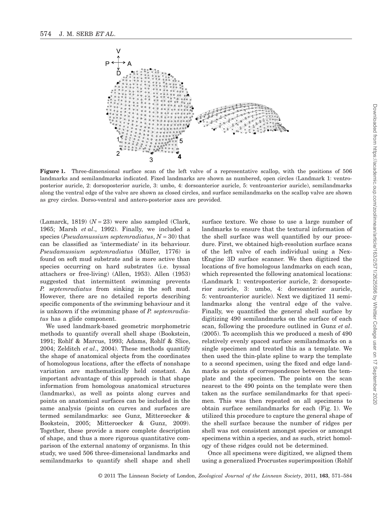

**Figure 1.** Three-dimensional surface scan of the left valve of a representative scallop, with the positions of 506 landmarks and semilandmarks indicated. Fixed landmarks are shown as numbered, open circles (Landmark 1: ventroposterior auricle, 2: dorsoposterior auricle, 3: umbo, 4: dorsoanterior auricle, 5: ventroanterior auricle), semilandmarks along the ventral edge of the valve are shown as closed circles, and surface semilandmarks on the scallop valve are shown as grey circles. Dorso-ventral and antero-posterior axes are provided.

 $(Lamarck, 1819)$   $(N = 23)$  were also sampled (Clark, 1965; Marsh *et al*., 1992). Finally, we included a species (*Pseudamussium septemradiatus*, *N* = 30) that can be classified as 'intermediate' in its behaviour. *Pseudamussium septemradiatus* (Müller, 1776) is found on soft mud substrate and is more active than species occurring on hard substrates (i.e. byssal attachers or free-living) (Allen, 1953). Allen (1953) suggested that intermittent swimming prevents *P. septemradiatus* from sinking in the soft mud. However, there are no detailed reports describing specific components of the swimming behaviour and it is unknown if the swimming phase of *P. septemradiatus* has a glide component.

We used landmark-based geometric morphometric methods to quantify overall shell shape (Bookstein, 1991; Rohlf & Marcus, 1993; Adams, Rohlf & Slice, 2004; Zelditch *et al*., 2004). These methods quantify the shape of anatomical objects from the coordinates of homologous locations, after the effects of nonshape variation are mathematically held constant. An important advantage of this approach is that shape information from homologous anatomical structures (landmarks), as well as points along curves and points on anatomical surfaces can be included in the same analysis (points on curves and surfaces are termed semilandmarks: see Gunz, Mitteroecker & Bookstein, 2005; Mitteroecker & Gunz, 2009). Together, these provide a more complete description of shape, and thus a more rigorous quantitative comparison of the external anatomy of organisms. In this study, we used 506 three-dimensional landmarks and semilandmarks to quantify shell shape and shell

surface texture. We chose to use a large number of landmarks to ensure that the textural information of the shell surface was well quantified by our procedure. First, we obtained high-resolution surface scans of the left valve of each individual using a NextEngine 3D surface scanner. We then digitized the locations of five homologous landmarks on each scan, which represented the following anatomical locations: (Landmark 1: ventroposterior auricle, 2: dorsoposterior auricle, 3: umbo, 4: dorsoanterior auricle, 5: ventroanterior auricle). Next we digitized 11 semilandmarks along the ventral edge of the valve. Finally, we quantified the general shell surface by digitizing 490 semilandmarks on the surface of each scan, following the procedure outlined in Gunz *et al*. (2005). To accomplish this we produced a mesh of 490 relatively evenly spaced surface semilandmarks on a single specimen and treated this as a template. We then used the thin-plate spline to warp the template to a second specimen, using the fixed and edge landmarks as points of correspondence between the template and the specimen. The points on the scan nearest to the 490 points on the template were then taken as the surface semilandmarks for that specimen. This was then repeated on all specimens to obtain surface semilandmarks for each (Fig. 1). We utilized this procedure to capture the general shape of the shell surface because the number of ridges per shell was not consistent amongst species or amongst specimens within a species, and as such, strict homology of these ridges could not be determined.

Once all specimens were digitized, we aligned them using a generalized Procrustes superimposition (Rohlf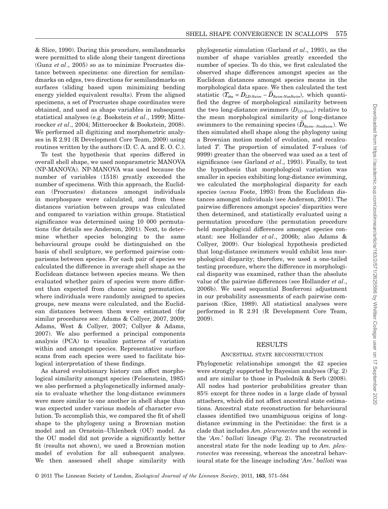& Slice, 1990). During this procedure, semilandmarks were permitted to slide along their tangent directions (Gunz *et al*., 2005) so as to minimize Procrustes distance between specimens: one direction for semilandmarks on edges, two directions for semilandmarks on surfaces (sliding based upon minimizing bending energy yielded equivalent results). From the aligned specimens, a set of Procrustes shape coordinates were obtained, and used as shape variables in subsequent statistical analyses (e.g. Bookstein *et al*., 1999; Mitteroecker *et al*., 2004; Mitteroecker & Bookstein, 2008). We performed all digitizing and morphometric analyses in R 2.91 (R Development Core Team, 2009) using routines written by the authors (D. C. A. and E. O. C.).

To test the hypothesis that species differed in overall shell shape, we used nonparametric MANOVA (NP-MANOVA). NP-MANOVA was used because the number of variables (1518) greatly exceeded the number of specimens. With this approach, the Euclidean (Procrustes) distances amongst individuals in morphospace were calculated, and from these distances variation between groups was calculated and compared to variation within groups. Statistical significance was determined using 10 000 permutations (for details see Anderson, 2001). Next, to determine whether species belonging to the same behavioural groups could be distinguished on the basis of shell sculpture, we performed pairwise comparisons between species. For each pair of species we calculated the difference in average shell shape as the Euclidean distance between species means. We then evaluated whether pairs of species were more different than expected from chance using permutation, where individuals were randomly assigned to species groups, new means were calculated, and the Euclidean distances between them were estimated (for similar procedures see: Adams & Collyer, 2007, 2009; Adams, West & Collyer, 2007; Collyer & Adams, 2007). We also performed a principal components analysis (PCA) to visualize patterns of variation within and amongst species. Representative surface scans from each species were used to facilitate biological interpretation of these findings.

As shared evolutionary history can affect morphological similarity amongst species (Felsenstein, 1985) we also performed a phylogenetically informed analysis to evaluate whether the long-distance swimmers were more similar to one another in shell shape than was expected under various models of character evolution. To accomplish this, we compared the fit of shell shape to the phylogeny using a Brownian motion model and an Ornstein-Uhlenbeck (OU) model. As the OU model did not provide a significantly better fit (results not shown), we used a Brownian motion model of evolution for all subsequent analyses. We then assessed shell shape similarity with phylogenetic simulation (Garland *et al*., 1993), as the number of shape variables greatly exceeded the number of species. To do this, we first calculated the observed shape differences amongst species as the Euclidean distances amongst species means in the morphological data space. We then calculated the test statistic  $(T_{obs} = D_{LD\text{-}Sum} - D_{Swim\text{-}NonSwim})$ , which quantified the degree of morphological similarity between the two long-distance swimmers  $(D_{LD\text{-}Sum})$  relative to the mean morphological similarity of long-distance swimmers to the remaining species  $(D_{Swin-NonSwin})$ . We then simulated shell shape along the phylogeny using a Brownian motion model of evolution, and recalculated *T*. The proportion of simulated *T*-values (of 9999) greater than the observed was used as a test of significance (see Garland *et al*., 1993). Finally, to test the hypothesis that morphological variation was smaller in species exhibiting long-distance swimming, we calculated the morphological disparity for each species (*sensu* Foote, 1993) from the Euclidean distances amongst individuals (see Anderson, 2001). The pairwise differences amongst species' disparities were then determined, and statistically evaluated using a permutation procedure (the permutation procedure held morphological differences amongst species constant: see Hollander *et al*., 2006b; also Adams & Collyer, 2009). Our biological hypothesis predicted that long-distance swimmers would exhibit less morphological disparity; therefore, we used a one-tailed testing procedure, where the difference in morphological disparity was examined, rather than the absolute value of the pairwise differences (see Hollander *et al*., 2006b). We used sequential Bonferroni adjustment in our probability assessments of each pairwise comparison (Rice, 1989). All statistical analyses were performed in R 2.91 (R Development Core Team, 2009).

#### RESULTS

#### ANCESTRAL STATE RECONSTRUCTION

Phylogenetic relationships amongst the 42 species were strongly supported by Bayesian analyses (Fig. 2) and are similar to those in Puslednik & Serb (2008). All nodes had posterior probabilities greater than 85% except for three nodes in a large clade of byssal attachers, which did not affect ancestral state estimations. Ancestral state reconstruction for behavioural classes identified two unambiguous origins of longdistance swimming in the Pectinidae: the first is a clade that includes *Am. pleuronectes* and the second is the '*Am*.' *balloti* lineage (Fig. 2). The reconstructed ancestral state for the node leading up to *Am. pleuronectes* was recessing, whereas the ancestral behavioural state for the lineage including '*Am*.' *balloti* was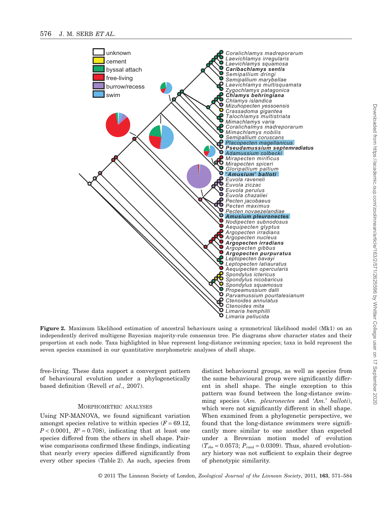

**Figure 2.** Maximum likelihood estimation of ancestral behaviours using a symmetrical likelihood model (Mk1) on an independently derived multigene Bayesian majority-rule consensus tree. Pie diagrams show character states and their proportion at each node. Taxa highlighted in blue represent long-distance swimming species; taxa in bold represent the seven species examined in our quantitative morphometric analyses of shell shape.

free-living. These data support a convergent pattern of behavioural evolution under a phylogenetically based definition (Revell *et al*., 2007).

#### MORPHOMETRIC ANALYSES

Using NP-MANOVA, we found significant variation amongst species relative to within species  $(F = 69.12,$  $P < 0.0001$ ,  $R^2 = 0.708$ ), indicating that at least one species differed from the others in shell shape. Pairwise comparisons confirmed these findings, indicating that nearly every species differed significantly from every other species (Table 2). As such, species from distinct behavioural groups, as well as species from the same behavioural group were significantly different in shell shape. The single exception to this pattern was found between the long-distance swimming species (*Am. pleuronectes* and '*Am.*' *balloti*), which were not significantly different in shell shape. When examined from a phylogenetic perspective, we found that the long-distance swimmers were significantly more similar to one another than expected under a Brownian motion model of evolution  $(T_{obs} = 0.0573; P_{rand} = 0.0309)$ . Thus, shared evolutionary history was not sufficient to explain their degree of phenotypic similarity.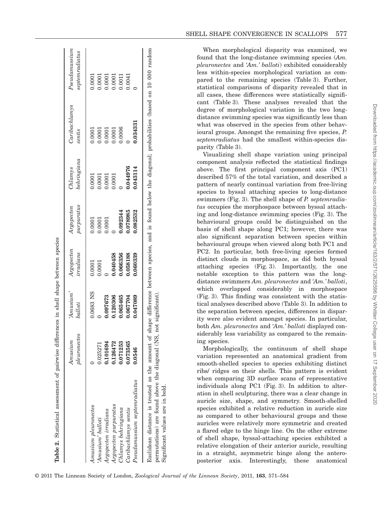|                              | pleuronectes<br>Amusium | Amusium <sup>.</sup><br><b>balloti</b> | Argopecten<br>irradians | purpuratus<br>Argopecten | behringiana<br>Chlamys | Caribachlamys<br>sentis | Pseudamusium<br>septenra diatus |
|------------------------------|-------------------------|----------------------------------------|-------------------------|--------------------------|------------------------|-------------------------|---------------------------------|
| Amusium pleuronectes         |                         | 0.0683 NS                              | 0.0001                  | 0.0001                   | 0.0001                 | 0.0001                  | 0.0001                          |
| 'Amusium' balloti            | 0.25271                 |                                        | 0.0001                  | 0.0001                   | 0.0001                 | 0.0001                  | 0.0001                          |
| Argopecten irradians         | 0.101694                | 0.097673                               |                         | 0.0001                   | 0.0001                 | 0.0001                  | 0.0001                          |
| Argopecten purpuratus        | 0.126472                | 0.120306                               | 0.040458                |                          | 0.0001                 | 0.0001                  | 0.0001                          |
| Chlamys behringiana          | 0.071253                | 0.065465                               | 0.066356                | 0.092344                 |                        | 0.0006                  | 0.0011                          |
| Caribachlamys sentis         | 0.073565                | 0.067704                               | 0.058188                | 0.078985                 | 0.044976               |                         | 0.0041                          |
| Pseudamussium septemradiatus | 0.0546                  | 0.047089                               | 0.060339                | 0.082532                 | 0.043114               | 0.034331                |                                 |

Table 2. Statistical assessment of pairwise differences in shell shape between species

When morphological disparity was examined, we found that the long-distance swimming species (*Am. pleuronectes* and *'Am.' balloti*) exhibited considerably less within-species morphological variation as compared to the remaining species (Table 3). Further, statistical comparisons of disparity revealed that in

SHELL SHAPE CONVERGENCE IN SCALLOPS 577

all cases, these differences were statistically significant (Table 3). These analyses revealed that the degree of morphological variation in the two longdistance swimming species was significantly less than what was observed in the species from other behavioural groups. Amongst the remaining five species, *P. septemradiatus* had the smallest within-species disparity (Table 3). Visualizing shell shape variation using principal

component analysis reflected the statistical findings above. The first principal component axis (PC1) described 57% of the total variation, and described a pattern of nearly continual variation from free-living species to byssal attaching species to long-distance swimmers (Fig. 3). The shell shape of *P. septemradiatus* occupies the morphospace between byssal attaching and long-distance swimming species (Fig. 3). The behavioural groups could be distinguished on the basis of shell shape along PC1; however, there was also significant separation between species within behavioural groups when viewed along both PC1 and PC2. In particular, both free-living species formed distinct clouds in morphospace, as did both byssal attaching species (Fig. 3). Importantly, the one notable exception to this pattern was the longdistance swimmers *Am. pleuronectes* and *'Am.' balloti*, which overlapped considerably in morphospace (Fig. 3). This finding was consistent with the statistical analyses described above (Table 3). In addition to the separation between species, differences in disparity were also evident amongst species. In particular, both *Am. pleuronectes* and *'Am.' balloti* displayed considerably less variability as compared to the remaining species.

Morphologically, the continuum of shell shape variation represented an anatomical gradient from smooth-shelled species to species exhibiting distinct ribs/ ridges on their shells. This pattern is evident when comparing 3D surface scans of representative individuals along PC1 (Fig. 3). In addition to alteration in shell sculpturing, there was a clear change in auricle size, shape, and symmetry. Smooth-shelled species exhibited a relative reduction in auricle size as compared to other behavioural groups and these auricles were relatively more symmetric and created a flared edge to the hinge line. On the other extreme of shell shape, byssal-attaching species exhibited a relative elongation of their anterior auricle, resulting in a straight, asymmetric hinge along the anteroposterior axis. Interestingly, these anatomical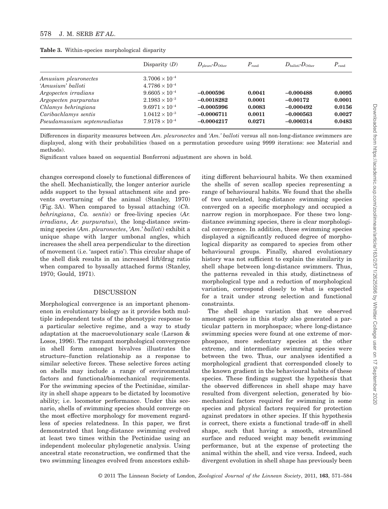|                              | Disparity $(D)$         | $D_{\text{oleuro}}$ - $D_{\text{Other}}$ | $P_{\text{rand}}$ | $D_{\text{halloti}}$ - $D_{\text{Other}}$ | $P_{\rm rand}$ |
|------------------------------|-------------------------|------------------------------------------|-------------------|-------------------------------------------|----------------|
| Amusium pleuronectes         | $3.7006 \times 10^{-4}$ |                                          |                   |                                           |                |
| 'Amusium' balloti            | $4.7786 \times 10^{-4}$ |                                          |                   |                                           |                |
| Argopecten irradians         | $9.6605 \times 10^{-4}$ | $-0.000596$                              | 0.0041            | $-0.000488$                               | 0.0095         |
| Argopecten purpuratus        | $2.1983 \times 10^{-3}$ | $-0.0018282$                             | 0.0001            | $-0.00172$                                | 0.0001         |
| Chlamys behringiana          | $9.6971 \times 10^{-4}$ | $-0.0005996$                             | 0.0083            | $-0.000492$                               | 0.0156         |
| Caribachlamys sentis         | $1.0412 \times 10^{-3}$ | $-0.0006711$                             | 0.0011            | $-0.000563$                               | 0.0027         |
| Pseudamussium septemradiatus | $7.9178 \times 10^{-4}$ | $-0.0004217$                             | 0.0271            | $-0.000314$                               | 0.0483         |
|                              |                         |                                          |                   |                                           |                |

**Table 3.** Within-species morphological disparity

Differences in disparity measures between *Am. pleuronectes* and *'Am.' balloti* versus all non-long-distance swimmers are displayed, along with their probabilities (based on a permutation procedure using 9999 iterations: see Material and methods).

Significant values based on sequential Bonferroni adjustment are shown in bold.

changes correspond closely to functional differences of the shell. Mechanistically, the longer anterior auricle adds support to the byssal attachment site and prevents overturning of the animal (Stanley, 1970) (Fig. 3A). When compared to byssal attaching (*Ch. behringiana*, *Ca. sentis*) or free-living species (*Ar. irradians*, *Ar. purpuratus*), the long-distance swimming species (*Am*. *pleuronectes*, '*Am*.' *balloti*) exhibit a unique shape with larger umbonal angles, which increases the shell area perpendicular to the direction of movement (i.e. 'aspect ratio'). This circular shape of the shell disk results in an increased lift/drag ratio when compared to byssally attached forms (Stanley, 1970; Gould, 1971).

#### DISCUSSION

Morphological convergence is an important phenomenon in evolutionary biology as it provides both multiple independent tests of the phenotypic response to a particular selective regime, and a way to study adaptation at the macroevolutionary scale (Larson & Losos, 1996). The rampant morphological convergence in shell form amongst bivalves illustrates the structure-function relationship as a response to similar selective forces. These selective forces acting on shells may include a range of environmental factors and functional/biomechanical requirements. For the swimming species of the Pectinidae, similarity in shell shape appears to be dictated by locomotive ability; i.e. locomotor performance. Under this scenario, shells of swimming species should converge on the most effective morphology for movement regardless of species relatedness. In this paper, we first demonstrated that long-distance swimming evolved at least two times within the Pectinidae using an independent molecular phylogenetic analysis. Using ancestral state reconstruction, we confirmed that the two swimming lineages evolved from ancestors exhibiting different behavioural habits. We then examined the shells of seven scallop species representing a range of behavioural habits. We found that the shells of two unrelated, long-distance swimming species converged on a specific morphology and occupied a narrow region in morphospace. For these two longdistance swimming species, there is clear morphological convergence. In addition, these swimming species displayed a significantly reduced degree of morphological disparity as compared to species from other behavioural groups. Finally, shared evolutionary history was not sufficient to explain the similarity in shell shape between long-distance swimmers. Thus, the patterns revealed in this study, distinctness of morphological type and a reduction of morphological variation, correspond closely to what is expected for a trait under strong selection and functional constraints.

The shell shape variation that we observed amongst species in this study also generated a particular pattern in morphospace; where long-distance swimming species were found at one extreme of morphospace, more sedentary species at the other extreme, and intermediate swimming species were between the two. Thus, our analyses identified a morphological gradient that corresponded closely to the known gradient in the behavioural habits of these species. These findings suggest the hypothesis that the observed differences in shell shape may have resulted from divergent selection, generated by biomechanical factors required for swimming in some species and physical factors required for protection against predators in other species. If this hypothesis is correct, there exists a functional trade-off in shell shape, such that having a smooth, streamlined surface and reduced weight may benefit swimming performance, but at the expense of protecting the animal within the shell, and vice versa. Indeed, such divergent evolution in shell shape has previously been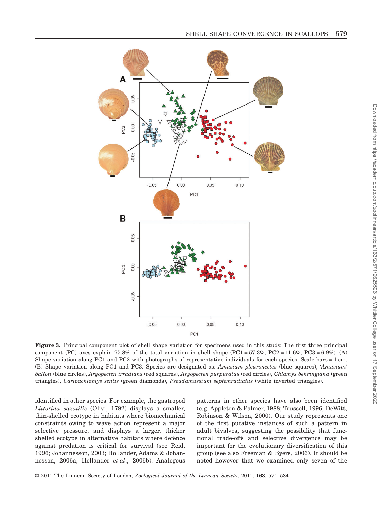

Downloaded from https://academic.oup.com/zoolinnean/article/163/2/571/2625596 by Whittier College user on 17 September 2020 Downloaded from https://academic.oup.com/zoolinnean/article/163/2/571/2625596 by Whittier College user on 17 September 2020

**Figure 3.** Principal component plot of shell shape variation for specimens used in this study. The first three principal component (PC) axes explain 75.8% of the total variation in shell shape (PC1 =  $57.3\%$ ; PC2 =  $11.6\%$ ; PC3 =  $6.9\%$ ). (A) Shape variation along PC1 and PC2 with photographs of representative individuals for each species. Scale bars = 1 cm. (B) Shape variation along PC1 and PC3. Species are designated as: *Amusium pleuronectes* (blue squares), *'Amusium' balloti* (blue circles), *Argopecten irradians* (red squares), *Argopecten purpuratus* (red circles), *Chlamys behringiana* (green triangles), *Caribachlamys sentis* (green diamonds), *Pseudamussium septemradiatus* (white inverted triangles).

identified in other species. For example, the gastropod *Littorina saxatilis* (Olivi, 1792) displays a smaller, thin-shelled ecotype in habitats where biomechanical constraints owing to wave action represent a major selective pressure, and displays a larger, thicker shelled ecotype in alternative habitats where defence against predation is critical for survival (see Reid, 1996; Johannesson, 2003; Hollander, Adams & Johannesson, 2006a; Hollander *et al*., 2006b). Analogous patterns in other species have also been identified (e.g. Appleton & Palmer, 1988; Trussell, 1996; DeWitt, Robinson & Wilson, 2000). Our study represents one of the first putative instances of such a pattern in adult bivalves, suggesting the possibility that functional trade-offs and selective divergence may be important for the evolutionary diversification of this group (see also Freeman & Byers, 2006). It should be noted however that we examined only seven of the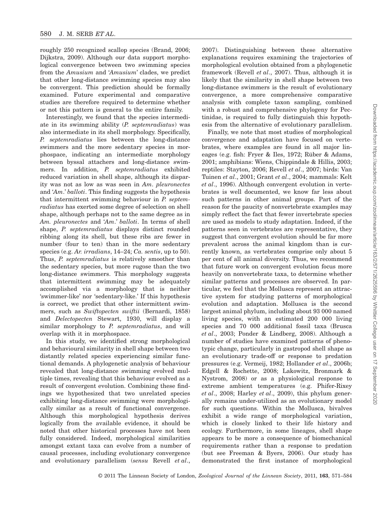roughly 250 recognized scallop species (Brand, 2006; Dijkstra, 2009). Although our data support morphological convergence between two swimming species from the *Amusium* and '*Amusium*' clades, we predict that other long-distance swimming species may also be convergent. This prediction should be formally examined. Future experimental and comparative studies are therefore required to determine whether or not this pattern is general to the entire family.

Interestingly, we found that the species intermediate in its swimming ability (*P. septemradiatus*) was also intermediate in its shell morphology. Specifically, *P. septemradiatus* lies between the long-distance swimmers and the more sedentary species in morphospace, indicating an intermediate morphology between byssal attachers and long-distance swimmers. In addition, *P. septemradiatus* exhibited reduced variation in shell shape, although its disparity was not as low as was seen in *Am*. *pleuronectes* and '*Am*.' *balloti*. This finding suggests the hypothesis that intermittent swimming behaviour in *P. septemradiatus* has exerted some degree of selection on shell shape, although perhaps not to the same degree as in *Am. pleuronectes* and '*Am*.' *balloti*. In terms of shell shape, *P. septemradiatus* displays distinct rounded ribbing along its shell, but these ribs are fewer in number (four to ten) than in the more sedentary species (e.g. *Ar. irradians*, 14–24; *Ca. sentis*, up to 50). Thus, *P. septemradiatus* is relatively smoother than the sedentary species, but more rugose than the two long-distance swimmers. This morphology suggests that intermittent swimming may be adequately accomplished via a morphology that is neither 'swimmer-like' nor 'sedentary-like.' If this hypothesis is correct, we predict that other intermittent swimmers, such as *Swiftopecten swiftii* (Bernardi, 1858) and *Delectopecten* Stewart, 1930, will display a similar morphology to *P. septemradiatus*, and will overlap with it in morphospace.

In this study, we identified strong morphological and behavioural similarity in shell shape between two distantly related species experiencing similar functional demands. A phylogenetic analysis of behaviour revealed that long-distance swimming evolved multiple times, revealing that this behaviour evolved as a result of convergent evolution. Combining these findings we hypothesized that two unrelated species exhibiting long-distance swimming were morphologically similar as a result of functional convergence. Although this morphological hypothesis derives logically from the available evidence, it should be noted that other historical processes have not been fully considered. Indeed, morphological similarities amongst extant taxa can evolve from a number of causal processes, including evolutionary convergence and evolutionary parallelism (*sensu* Revell *et al*., 2007). Distinguishing between these alternative explanations requires examining the trajectories of morphological evolution obtained from a phylogenetic framework (Revell *et al*., 2007). Thus, although it is likely that the similarity in shell shape between two long-distance swimmers is the result of evolutionary convergence, a more comprehensive comparative analysis with complete taxon sampling, combined with a robust and comprehensive phylogeny for Pectinidae, is required to fully distinguish this hypothesis from the alternative of evolutionary parallelism.

Finally, we note that most studies of morphological convergence and adaptation have focused on vertebrates, where examples are found in all major lineages (e.g. fish: Fryer & Iles, 1972; Rüber & Adams, 2001; amphibians: Wiens, Chippindale & Hillis, 2003; reptiles: Stayton, 2006; Revell *et al*., 2007; birds: Van Tuinen *et al*., 2001; Grant *et al*., 2004; mammals: Kelt *et al*., 1996). Although convergent evolution in vertebrates is well documented, we know far less about such patterns in other animal groups. Part of the reason for the paucity of nonvertebrate examples may simply reflect the fact that fewer invertebrate species are used as models to study adaptation. Indeed, if the patterns seen in vertebrates are representative, they suggest that convergent evolution should be far more prevalent across the animal kingdom than is currently known, as vertebrates comprise only about 5 per cent of all animal diversity. Thus, we recommend that future work on convergent evolution focus more heavily on nonvertebrate taxa, to determine whether similar patterns and processes are observed. In particular, we feel that the Mollusca represent an attractive system for studying patterns of morphological evolution and adaptation. Mollusca is the second largest animal phylum, including about 93 000 named living species, with an estimated 200 000 living species and 70 000 additional fossil taxa (Brusca *et al*., 2003; Ponder & Lindberg, 2008). Although a number of studies have examined patterns of phenotypic change, particularly in gastropod shell shape as an evolutionary trade-off or response to predation pressures (e.g. Vermeij, 1982; Hollander *et al*., 2006b; Edgell & Rochette, 2008; Lakowitz, Bronmark & Nystrom, 2008) or as a physiological response to extreme ambient temperatures (e.g. Phifer-Rixey *et al*., 2008; Harley *et al*., 2009), this phylum generally remains under-utilized as an evolutionary model for such questions. Within the Mollusca, bivalves exhibit a wide range of morphological variation, which is closely linked to their life history and ecology. Furthermore, in some lineages, shell shape appears to be more a consequence of biomechanical requirements rather than a response to predation (but see Freeman & Byers, 2006). Our study has demonstrated the first instance of morphological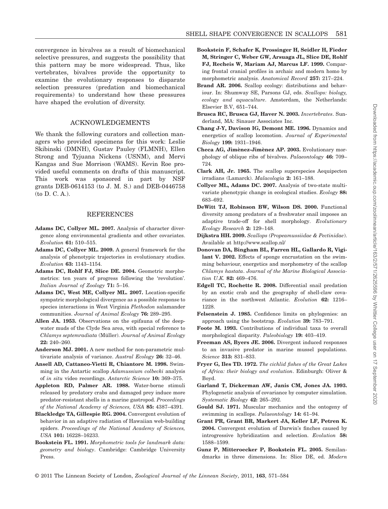convergence in bivalves as a result of biomechanical selective pressures, and suggests the possibility that this pattern may be more widespread. Thus, like vertebrates, bivalves provide the opportunity to examine the evolutionary responses to disparate selection pressures (predation and biomechanical requirements) to understand how these pressures have shaped the evolution of diversity.

#### ACKNOWLEDGEMENTS

We thank the following curators and collection managers who provided specimens for this work: Leslie Skibinski (DMNH), Gustav Pauley (FLMNH), Ellen Strong and Tyjuana Nickens (USNM), and Mervi Kangas and Sue Morrison (WAMS). Kevin Roe provided useful comments on drafts of this manuscript. This work was sponsored in part by NSF grants DEB-0614153 (to J. M. S.) and DEB-0446758 (to D. C. A.).

#### REFERENCES

- **Adams DC, Collyer ML. 2007.** Analysis of character divergence along environmental gradients and other covariates. *Evolution* **61:** 510–515.
- **Adams DC, Collyer ML. 2009.** A general framework for the analysis of phenotypic trajectories in evolutionary studies. *Evolution* **63:** 1143–1154.
- **Adams DC, Rohlf FJ, Slice DE. 2004.** Geometric morphometrics: ten years of progress following the 'revolution'. *Italian Journal of Zoology* **71:** 5–16.
- **Adams DC, West ME, Collyer ML. 2007.** Location-specific sympatric morphological divergence as a possible response to species interactions in West Virginia *Plethodon* salamander communities. *Journal of Animal Ecology* **76:** 289–295.
- **Allen JA. 1953.** Observations on the epifauna of the deepwater muds of the Clyde Sea area, with special reference to *Chlamys septemradiata* (Müller). *Journal of Animal Ecology* **22:** 240–260.
- **Anderson MJ. 2001.** A new method for non-parametric multivariate analysis of variance. *Austral Ecology* **26:** 32–46.
- **Ansell AD, Cattaneo-Vietti R, Chiantore M. 1998.** Swimming in the Antartic scallop *Adamussium colbecki* analysis of *in situ* video recordings. *Antarctic Science* **10:** 369–375.
- **Appleton RD, Palmer AR. 1988.** Water-borne stimuli released by predatory crabs and damaged prey induce more predator-resistant shells in a marine gastropod. *Proceedings of the National Academy of Sciences, USA* **85:** 4387–4391.
- **Blackledge TA, Gillespie RG. 2004.** Convergent evolution of behavior in an adaptive radiation of Hawaiian web-building spiders. *Proceedings of the National Academy of Sciences, USA* **101:** 16228–16233.
- **Bookstein FL. 1991.** *Morphometric tools for landmark data: geometry and biology*. Cambridge: Cambridge University Press.
- **Bookstein F, Schafer K, Prossinger H, Seidler H, Fieder M, Stringer C, Weber GW, Arsuaga JL, Slice DE, Rohlf FJ, Recheis W, Mariam AJ, Marcus LF. 1999.** Comparing frontal cranial profiles in archaic and modern homo by morphometric analysis. *Anatomical Record* **257:** 217–224.
- **Brand AR. 2006.** Scallop ecology: distributions and behaviour. In: Shumway SE, Parsons GJ, eds. *Scallops: biology, ecology and aquaculture*. Amsterdam, the Netherlands: Elsevier B.V, 651–744.
- **Brusca RC, Brusca GJ, Haver N. 2003.** *Invertebrates*. Sunderland, MA: Sinauer Associates Inc.
- **Chang J-Y, Davison IG, Demont ME. 1996.** Dynamics and energetics of scallop locomotion. *Journal of Experimental Biology* **199:** 1931–1946.
- **Checa AG, Jimènez-Jimènez AP. 2003.** Evolutionary morphology of oblique ribs of bivalves. *Palaeontology* **46:** 709– 724.
- **Clark AH, Jr. 1965.** The scallop superspecies Aequipecten irradians (Lamarck). *Malacologia* **2:** 161–188.
- **Collyer ML, Adams DC. 2007.** Analysis of two-state multivariate phenotypic change in ecological studies. *Ecology* **88:** 683–692.
- **DeWitt TJ, Robinson BW, Wilson DS. 2000.** Functional diversity among predators of a freshwater snail imposes an adaptive trade-off for shell morphology. *Evolutionary Ecology Research* **2:** 129–148.
- **Dijkstra HH. 2009.** *Scallops (Propeamussiidae & Pectinidae*). Available at http://www.scallop.nl/
- **Donovan DA, Bingham BL, Farren HL, Gallardo R, Vigi**lant V. 2002. Effects of sponge encrustation on the swimming behaviour, energetics and morphometry of the scallop *Chlamys hastata*. *Journal of the Marine Biological Association U.K.* **82:** 469–476.
- **Edgell TC, Rochette R. 2008.** Differential snail predation by an exotic crab and the geography of shell-claw covariance in the northwest Atlantic. *Evolution* **62:** 1216– 1228.
- **Felsenstein J. 1985.** Confidence limits on phylogenies: an approach using the bootstrap. *Evolution* **39:** 783–791.
- **Foote M. 1993.** Contributions of individual taxa to overall morphological disparity. *Paleobiology* **19:** 403–419.
- **Freeman AS, Byers JE. 2006.** Divergent induced responses to an invasive predator in marine mussel populations. *Science* **313:** 831–833.
- **Fryer G, Iles TD. 1972.** *The cichlid fishes of the Great Lakes of Africa: their biology and evolution*. Edinburgh: Oliver & Boyd.
- **Garland T, Dickerman AW, Janis CM, Jones JA. 1993.** Phylogenetic analysis of covariance by computer simulation. *Systematic Biology* **42:** 265–292.
- **Gould SJ. 1971.** Muscular mechanics and the ontogeny of swimming in scallops. *Palaeontology* **14:** 61–94.
- **Grant PR, Grant BR, Markert JA, Keller LF, Petren K. 2004.** Convergent evolution of Darwin's finches caused by introgressive hybridization and selection. *Evolution* **58:** 1588–1599.
- **Gunz P, Mitteroecker P, Bookstein FL. 2005.** Semilandmarks in three dimensions. In: Slice DE, ed. *Modern*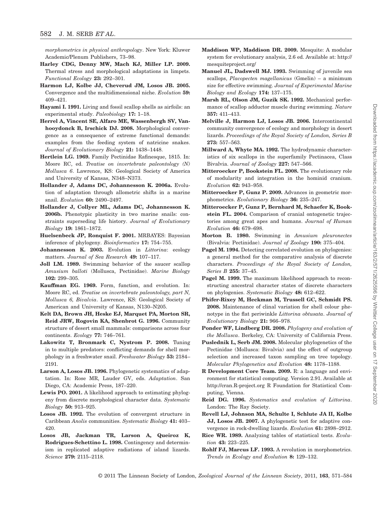*morphometrics in physical anthropology*. New York: Kluwer Academic/Plenum Publishers, 73–98.

- **Harley CDG, Denny MW, Mach KJ, Miller LP. 2009.** Thermal stress and morphological adaptations in limpets. *Functional Ecology* **23:** 292–301.
- **Harmon LJ, Kolbe JJ, Cheverud JM, Losos JB. 2005.** Convergence and the multidimensional niche. *Evolution* **59:** 409–421.
- **Hayami I. 1991.** Living and fossil scallop shells as airfoils: an experimental study. *Paleobiology* **17:** 1–18.
- **Herrel A, Vincent SE, Alfaro ME, Wassenbergh SV, Vanhooydonck B, Irschick DJ. 2008.** Morphological convergence as a consequence of extreme functional demands: examples from the feeding system of natricine snakes. *Journal of Evolutionary Biology* **21:** 1438–1448.
- **Hertlein LG. 1969.** Family Pectinidae Rafinesque, 1815. In: Moore RC, ed. *Treatise on invertebrate paleontology (N) Mollusca 6*. Lawrence, KS: Geological Society of America and University of Kansas, N348–N373.
- **Hollander J, Adams DC, Johannesson K. 2006a.** Evolution of adaptation through allometric shifts in a marine snail. *Evolution* **60:** 2490–2497.
- **Hollander J, Collyer ML, Adams DC, Johannesson K. 2006b.** Phenotypic plasticity in two marine snails: constraints superseding life history. *Journal of Evolutionary Biology* **19:** 1861–1872.
- **Huelsenbeck JP, Ronquist F. 2001.** MRBAYES: Bayesian inference of phylogeny. *Bioinformatics* **17:** 754–755.
- **Johannesson K. 2003.** Evolution in *Littorina*: ecology matters. *Journal of Sea Research* **49:** 107–117.
- **Joll LM. 1989.** Swimming behavior of the saucer scallop *Amusium balloti* (Mollusca, Pectinidae). *Marine Biology* **102:** 299–305.
- **Kauffman EG. 1969.** Form, function, and evolution. In: Moore RC, ed. *Treatise on invertebrate paleontology, part N, Mollusca 6, Bivalvia*. Lawrence, KS: Geological Society of American and University of Kansas, N130–N205.
- **Kelt DA, Brown JH, Heske EJ, Marquet PA, Morton SR, Reid JRW, Rogovin KA, Shenbrot G. 1996.** Community structure of desert small mammals: comparisons across four continents. *Ecology* **77:** 746–761.
- **Lakowitz T, Bronmark C, Nystrom P. 2008.** Tuning in to multiple predators: conflicting demands for shell morphology in a freshwater snail. *Freshwater Biology* **53:** 2184– 2191.
- **Larson A, Losos JB. 1996.** Phylogenetic systematics of adaptation. In: Rose MR, Lauder GV, eds. *Adaptation*. San Diego, CA: Academic Press, 187–220.
- **Lewis PO. 2001.** A likelihood approach to estimating phylogeny from discrete morphological character data. *Systematic Biology* **50:** 913–925.
- **Losos JB. 1992.** The evolution of convergent structure in Caribbean *Anolis* communities. *Systematic Biology* **41:** 403– 420.
- **Losos JB, Jackman TR, Larson A, Queiroz K, Rodrigues-Schettino L. 1998.** Contingency and determinism in replicated adaptive radiations of island lizards. *Science* **279:** 2115–2118.
- **Maddison WP, Maddison DR. 2009.** Mesquite: A modular system for evolutionary analysis, 2.6 ed. Available at: http:// mesquiteproject.org/
- **Manuel JL, Dadswell MJ. 1993.** Swimming of juvenile sea scallops, *Placopecten magellanicus* (Gmelin) – a minimum size for effective swimming. *Journal of Experimental Marine Biology and Ecology* **174:** 137–175.
- **Marsh RL, Olson JM, Guzik SK. 1992.** Mechanical performance of scallop adductor muscle during swimming. *Nature* **357:** 411–413.
- **Melville J, Harmon LJ, Losos JB. 2006.** Intercontinental community convergence of ecology and morphology in desert lizards. *Proceedings of the Royal Society of London, Series B* **273:** 557–563.
- **Millward A, Whyte MA. 1992.** The hydrodynamic characteristics of six scallops in the superfamily Pectinacea, Class Bivalvia. *Journal of Zoology* **227:** 547–566.
- **Mitteroecker P, Bookstein FL. 2008.** The evolutionary role of modularity and integration in the hominid cranium. *Evolution* **62:** 943–958.
- **Mitteroecker P, Gunz P. 2009.** Advances in geometric morphometrics. *Evolutionary Biology* **36:** 235–247.
- **Mitteroecker P, Gunz P, Bernhard M, Schaefer K, Bookstein FL. 2004.** Comparison of cranial ontogenetic trajectories among great apes and humans. *Journal of Human Evolution* **46:** 679–698.
- **Morton B. 1980.** Swimming in *Amusium pleuronectes* (Bivalvia: Pectinidae). *Journal of Zoology* **190:** 375–404.
- **Pagel M. 1994.** Detecting correlated evolution on phylogenies: a general method for the comparative analysis of discrete characters. *Proceedings of the Royal Society of London, Series B* **255:** 37–45.
- **Pagel M. 1999.** The maximum likelihood approach to reconstructing ancestral character states of discrete characters on phylogenies. *Systematic Biology* **48:** 612–622.
- **Phifer-Rixey M, Heckman M, Trussell GC, Schmidt PS. 2008.** Maintenance of clinal variation for shell colour phenotype in the flat periwinkle *Littorina obtusata*. *Journal of Evolutionary Biology* **21:** 966–978.

**Ponder WF, Lindberg DR. 2008.** *Phylogeny and evolution of the Mollusca*. Berkeley, CA: University of California Press.

- **Puslednik L, Serb JM. 2008.** Molecular phylogenetics of the Pectinidae (Mollusca: Bivalvia) and the effect of outgroup selection and increased taxon sampling on tree topology. *Molecular Phylogenetics and Evolution* **48:** 1178–1188.
- **R Development Core Team. 2009.** R: a language and environment for statistical computing. Version 2.91. Available at http://cran.R-project.org R Foundation for Statistical Computing, Vienna.
- **Reid DG. 1996.** *Systematics and evolution of Littorina*. London: The Ray Society.
- **Revell LJ, Johnson MA, Schulte I, Schlute JA II, Kolbe JJ, Losos JB. 2007.** A phylogenetic test for adaptive convergence in rock-dwelling lizards. *Evolution* **61:** 2898–2912.
- **Rice WR. 1989.** Analyzing tables of statistical tests. *Evolution* **43:** 223–225.
- **Rohlf FJ, Marcus LF. 1993.** A revolution in morphometrics. *Trends in Ecology and Evolution* **8:** 129–132.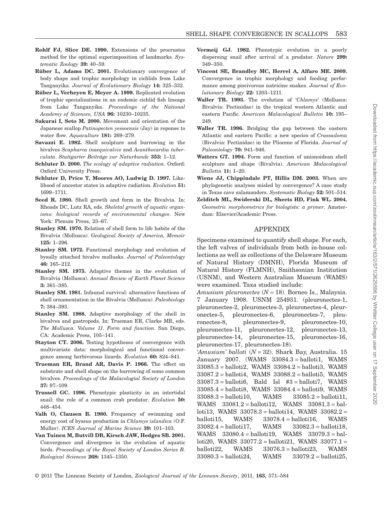- **Rohlf FJ, Slice DE. 1990.** Extensions of the procrustes method for the optimal superimposition of landmarks. *Systematic Zoology* **39:** 40–59.
- **Rüber L, Adams DC. 2001.** Evolutionary convergence of body shape and trophic morphology in cichlids from Lake Tanganyika. *Journal of Evolutionary Biology* **14:** 325–332.
- **Rüber L, Verheyen E, Meyer A. 1999.** Replicated evolution of trophic specializations in an endemic cichlid fish lineage from Lake Tanganyika. *Proceedings of the National Academy of Sciences, USA* **96:** 10230–10235.
- **Sakurai I, Seto M. 2000.** Movement and orientation of the Japanese scallop *Patinopecten yessoensis* (Jay) in reponse to water flow. *Aquaculture* **181:** 269–279.
- **Savazzi E. 1982.** Shell sculpture and burrowing in the bivalves *Scapharca inaequivalvis* and *Acanthocardia tuberculata*. *Stuttgarter Beiträge zur Naturkunde* **353:** 1–12.
- **Schluter D. 2000.** *The ecology of adaptive radiation*. Oxford: Oxford University Press.
- **Schluter D, Price T, Moores AO, Ludwig D. 1997.** Likelihood of ancestor states in adaptive radiation. *Evolution* **51:** 1699–1711.
- **Seed R. 1980.** Shell growth and form in the Bivalvia. In: Rhoads DC, Lutz RA, eds. *Skeletal growth of aquatic organisms: biological records of environmental changes*. New York: Plenum Press, 23–67.
- **Stanley SM. 1970.** Relation of shell form to life habits of the Bivalvia (Mollusca). *Geological Society of America, Memoir* **125:** 1–296.
- **Stanley SM. 1972.** Functional morphology and evolution of bysally attached bivalve mollusks. *Journal of Paleontology* **46:** 165–212.
- **Stanley SM. 1975.** Adaptive themes in the evolution of Bivalvia (Mollusca). *Annual Review of Earth Planet Science* **3:** 361–385.
- **Stanley SM. 1981.** Infaunal survival: alternative functions of shell ornamentation in the Bivalvia (Mollusca). *Paleobiology* **7:** 384–393.
- **Stanley SM. 1988.** Adaptive morphology of the shell in bivalves and gastropods. In: Trueman ER, Clarke MR, eds. *The Mollusca. Volume 11. Form and function*. San Diego, CA: Academic Press, 105–141.
- **Stayton CT. 2006.** Testing hypotheses of convergence with multivariate data: morphological and functional convergence among herbivorous lizards. *Evolution* **60:** 824–841.
- **Trueman ER, Brand AR, Davis P. 1966.** The effect on substrate and shell shape on the burrowing of some common bivalves. *Proceedings of the Malacologial Society of London* **37:** 97–109.
- **Trussell GC. 1996.** Phenotypic plasticity in an intertidal snail: the role of a common crab predator. *Evolution* **50:** 448–454.
- **Valh O, Clausen B. 1980.** Frequency of swimming and energy cost of byssus production in *Chlamys islandica* (O.F. Muller). *ICES Journal of Marine Science* **39:** 101–103.
- **Van Tuinen M, Butvill DB, Kirsch JAW, Hedges SB. 2001.** Convergence and divergence in the evolution of aquatic birds. *Proceedings of the Royal Society of London Series B. Biological Sciences* **268:** 1345–1350.
- **Vermeij GJ. 1982.** Phenotypic evolution in a poorly dispersing snail after arrival of a predator. *Nature* **299:** 349–350.
- **Vincent SE, Brandley MC, Herrel A, Alfaro ME. 2009.** Convergence in trophic morphology and feeding performance among piscivorous natricine snakes. *Journal of Evolutionary Biology* **22:** 1203–1211.
- **Waller TR. 1993.** The evolution of '*Chlamys*' (Mollusca: Bivalvia: Pectinidae) in the tropical western Atlantic and eastern Pacific. *American Malacological Bulletin* **10:** 195– 249.
- **Waller TR. 1996.** Bridging the gap between the eastern Atlantic and eastern Pacific: a new species of *Crassadoma* (Bivalvia: Pectinidae) in the Pliocene of Florida. *Journal of Paleontology* **70:** 941–946.
- **Watters GT. 1994.** Form and function of unionoidean shell sculpture and shape (Bivalvia). *American Malacological Bulletin* **11:** 1–20.
- **Wiens JJ, Chippindale PT, Hillis DM. 2003.** When are phylogenetic analyses misled by convergence? A case study in Texas cave salamanders. *Systematic Biology* **52:** 501–514.
- **Zelditch ML, Swiderski DL, Sheets HD, Fink WL. 2004.** *Geometric morphometrics for biologists: a primer*. Amsterdam: Elsevier/Academic Press.

#### APPENDIX

Specimens examined to quantify shell shape. For each, the left valves of individuals from both in-house collections as well as collections of the Delaware Museum of Natural History (DMNH), Florida Museum of Natural History (FLMNH), Smithsonian Institution (USNM), and Western Australian Museum (WAMS) were examined. Taxa studied include:

*Amusium pleuronectes* (*N* = 18). Borneo Is., Malaysia. 7 January 1908. USNM 254931. (pleuronectes-1, pleuronectes-2, pleuronectes-3, pleuronectes-4, pleuronectes-5, pleuronectes-6, pleuronectes-7, pleuronectes-8, pleuronectes-9, pleuronectes-10, pleuronectes-11, pleuronectes-12, pleuronectes-13, pleuronectes-14, pleuronectes-15, pleuronectes-16, pleuronectes-17, pleuronectes-18). *'Amusium' balloti* (*N* = 32). Shark Bay, Australia. 15

January 2007. (WAMS  $33084.3 = \text{balloti1}$ . WAMS 33085.3 = balloti2, WAMS 33084.2 = balloti3, WAMS 33087.2 = balloti4, WAMS 33088.2 = balloti5, WAMS  $33087.3 = \text{balloti6}$ , Bald Isl  $#3 = \text{balloti7}$ , WAMS 33085.4 = balloti8, WAMS 33084.4 = balloti9, WAMS  $33088.3 = \text{balloti10}$ , WAMS  $33085.2 = \text{balloti11}$ , WAMS 33081.2 = balloti12, WAMS 33081.3 = balloti13, WAMS  $33078.3 = 5$  balloti14, WAMS  $33082.2 =$ balloti15, WAMS  $33078.4 = \text{balloti16}$ , WAMS 33082.4 = balloti17, WAMS 33082.3 = balloti18, WAMS 33080.4 = balloti19, WAMS 33079.3 = balloti20, WAMS  $33077.2 = 5$ alloti21, WAMS  $33077.1 =$ balloti22, WAMS  $33076.3 = 5$  balloti23, WAMS  $33080.3 = \text{balloti24}$ , WAMS  $33079.2 = \text{balloti25}$ ,